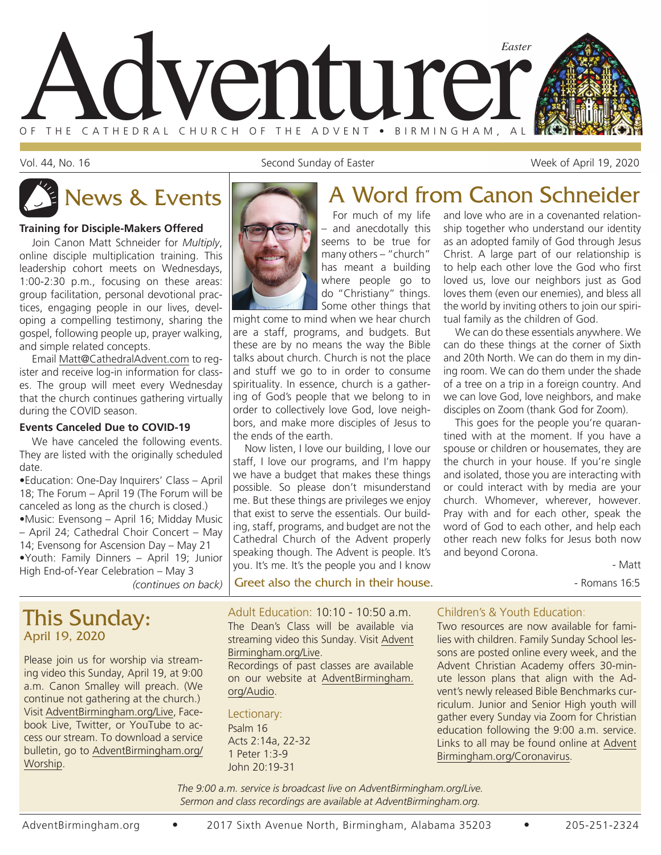

Vol. 44, No. 16 Second Sunday of Easter Neel April 19, 2020 Second Sunday of Easter Neel April 19, 2020

#### **Training for Disciple-Makers Offered**

Join Canon Matt Schneider for *Multiply*, online disciple multiplication training. This leadership cohort meets on Wednesdays, 1:00-2:30 p.m., focusing on these areas: group facilitation, personal devotional practices, engaging people in our lives, developing a compelling testimony, sharing the gospel, following people up, prayer walking, and simple related concepts.

Email Matt@CathedralAdvent.com to register and receive log-in information for classes. The group will meet every Wednesday that the church continues gathering virtually during the COVID season.

#### **Events Canceled Due to COVID-19**

We have canceled the following events. They are listed with the originally scheduled date.

•Education: One-Day Inquirers' Class – April 18; The Forum – April 19 (The Forum will be canceled as long as the church is closed.) •Music: Evensong – April 16; Midday Music – April 24; Cathedral Choir Concert – May 14; Evensong for Ascension Day – May 21 •Youth: Family Dinners – April 19; Junior High End-of-Year Celebration – May 3

## This Sunday: April 19, 2020

Please join us for worship via streaming video this Sunday, April 19, at 9:00 a.m. Canon Smalley will preach. (We continue not gathering at the church.) Visit AdventBirmingham.org/Live, Facebook Live, Twitter, or YouTube to access our stream. To download a service bulletin, go to AdventBirmingham.org/ Worship.



For much of my life – and anecdotally this seems to be true for many others – "church" has meant a building where people go to do "Christiany" things. Some other things that

might come to mind when we hear church are a staff, programs, and budgets. But these are by no means the way the Bible talks about church. Church is not the place and stuff we go to in order to consume spirituality. In essence, church is a gathering of God's people that we belong to in order to collectively love God, love neighbors, and make more disciples of Jesus to the ends of the earth.

Now listen, I love our building, I love our staff, I love our programs, and I'm happy we have a budget that makes these things possible. So please don't misunderstand me. But these things are privileges we enjoy that exist to serve the essentials. Our building, staff, programs, and budget are not the Cathedral Church of the Advent properly speaking though. The Advent is people. It's you. It's me. It's the people you and I know

*(continues on back)* Greet also the church in their house.

# News & Events A Word from Canon Schneider

and love who are in a covenanted relationship together who understand our identity as an adopted family of God through Jesus Christ. A large part of our relationship is to help each other love the God who first loved us, love our neighbors just as God loves them (even our enemies), and bless all the world by inviting others to join our spiritual family as the children of God.

We can do these essentials anywhere. We can do these things at the corner of Sixth and 20th North. We can do them in my dining room. We can do them under the shade of a tree on a trip in a foreign country. And we can love God, love neighbors, and make disciples on Zoom (thank God for Zoom).

This goes for the people you're quarantined with at the moment. If you have a spouse or children or housemates, they are the church in your house. If you're single and isolated, those you are interacting with or could interact with by media are your church. Whomever, wherever, however. Pray with and for each other, speak the word of God to each other, and help each other reach new folks for Jesus both now and beyond Corona.

- Matt

Adult Education: 10:10 - 10:50 a.m. The Dean's Class will be available via streaming video this Sunday. Visit Advent Birmingham.org/Live.

Recordings of past classes are available on our website at AdventBirmingham. org/Audio.

Lectionary: Psalm 16 Acts 2:14a, 22-32 1 Peter 1:3-9 John 20:19-31

#### Children's & Youth Education:

Two resources are now available for families with children. Family Sunday School lessons are posted online every week, and the Advent Christian Academy offers 30-minute lesson plans that align with the Advent's newly released Bible Benchmarks curriculum. Junior and Senior High youth will gather every Sunday via Zoom for Christian education following the 9:00 a.m. service. Links to all may be found online at Advent Birmingham.org/Coronavirus.

*The 9:00 a.m. service is broadcast live on AdventBirmingham.org/Live. Sermon and class recordings are available at AdventBirmingham.org.*